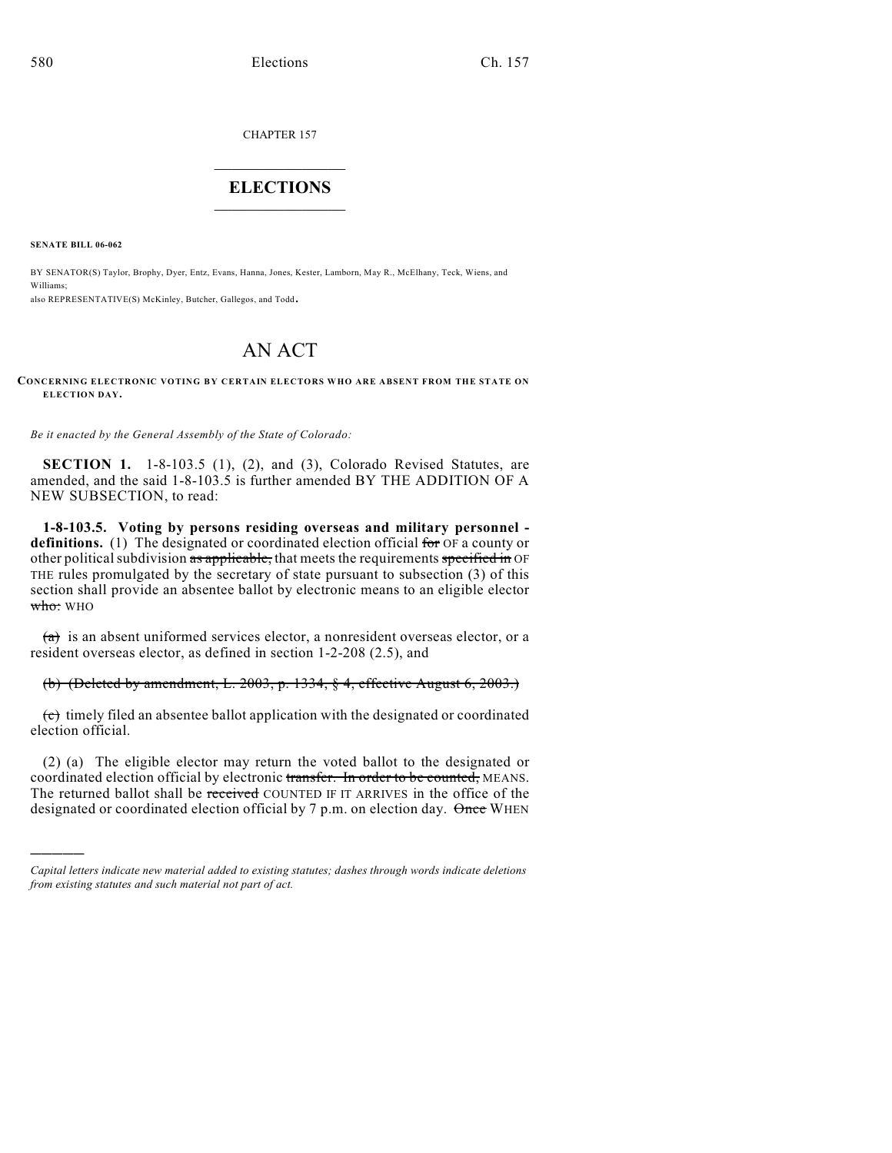CHAPTER 157

## $\overline{\phantom{a}}$  . The set of the set of the set of the set of the set of the set of the set of the set of the set of the set of the set of the set of the set of the set of the set of the set of the set of the set of the set o **ELECTIONS**  $\_$

**SENATE BILL 06-062**

)))))

BY SENATOR(S) Taylor, Brophy, Dyer, Entz, Evans, Hanna, Jones, Kester, Lamborn, May R., McElhany, Teck, Wiens, and Williams;

also REPRESENTATIVE(S) McKinley, Butcher, Gallegos, and Todd.

## AN ACT

## **CONCERNING ELECTRONIC VOTING BY CERTAIN ELECTORS WHO ARE ABSENT FROM THE STATE ON ELECTION DAY.**

*Be it enacted by the General Assembly of the State of Colorado:*

**SECTION 1.** 1-8-103.5 (1), (2), and (3), Colorado Revised Statutes, are amended, and the said 1-8-103.5 is further amended BY THE ADDITION OF A NEW SUBSECTION, to read:

**1-8-103.5. Voting by persons residing overseas and military personnel definitions.** (1) The designated or coordinated election official for OF a county or other political subdivision  $\overline{as}$  applicable, that meets the requirements specified in OF THE rules promulgated by the secretary of state pursuant to subsection (3) of this section shall provide an absentee ballot by electronic means to an eligible elector who: WHO

 $(a)$  is an absent uniformed services elector, a nonresident overseas elector, or a resident overseas elector, as defined in section 1-2-208 (2.5), and

(b) (Deleted by amendment, L. 2003, p. 1334, § 4, effective August 6, 2003.)

 $\overrightarrow{c}$  timely filed an absentee ballot application with the designated or coordinated election official.

(2) (a) The eligible elector may return the voted ballot to the designated or coordinated election official by electronic transfer. In order to be counted, MEANS. The returned ballot shall be received COUNTED IF IT ARRIVES in the office of the designated or coordinated election official by 7 p.m. on election day. Once WHEN

*Capital letters indicate new material added to existing statutes; dashes through words indicate deletions from existing statutes and such material not part of act.*